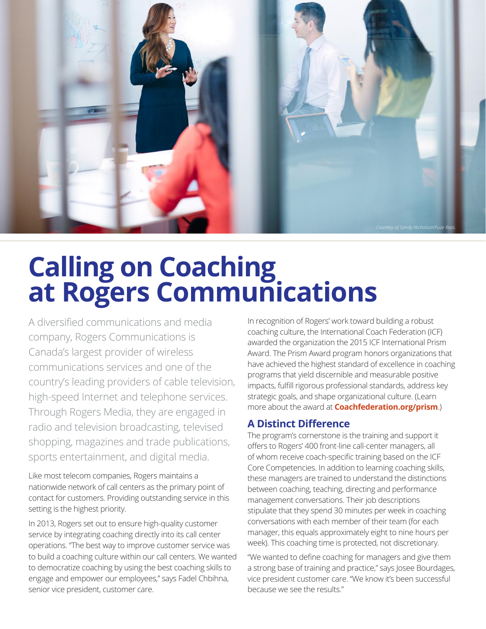

## **Calling on Coaching at Rogers Communications**

A diversified communications and media company, Rogers Communications is Canada's largest provider of wireless communications services and one of the country's leading providers of cable television, high-speed Internet and telephone services. Through Rogers Media, they are engaged in radio and television broadcasting, televised shopping, magazines and trade publications, sports entertainment, and digital media.

Like most telecom companies, Rogers maintains a nationwide network of call centers as the primary point of contact for customers. Providing outstanding service in this setting is the highest priority.

In 2013, Rogers set out to ensure high-quality customer service by integrating coaching directly into its call center operations. "The best way to improve customer service was to build a coaching culture within our call centers. We wanted to democratize coaching by using the best coaching skills to engage and empower our employees," says Fadel Chbihna, senior vice president, customer care.

In recognition of Rogers' work toward building a robust coaching culture, the International Coach Federation (ICF) awarded the organization the 2015 ICF International Prism Award. The Prism Award program honors organizations that have achieved the highest standard of excellence in coaching programs that yield discernible and measurable positive impacts, fulfill rigorous professional standards, address key strategic goals, and shape organizational culture. (Learn more about the award at **[Coachfederation.org/prism](http://Coachfederation.org/prism)**.)

## **A Distinct Difference**

The program's cornerstone is the training and support it offers to Rogers' 400 front-line call-center managers, all of whom receive coach-specific training based on the ICF Core Competencies. In addition to learning coaching skills, these managers are trained to understand the distinctions between coaching, teaching, directing and performance management conversations. Their job descriptions stipulate that they spend 30 minutes per week in coaching conversations with each member of their team (for each manager, this equals approximately eight to nine hours per week). This coaching time is protected, not discretionary.

"We wanted to define coaching for managers and give them a strong base of training and practice," says Josee Bourdages, vice president customer care. "We know it's been successful because we see the results."